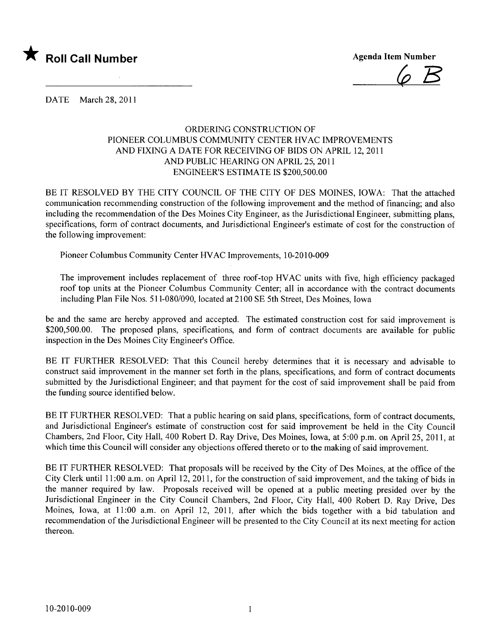

 $\varphi$   $B$ 

DATE March 28, 2011

## ORDERING CONSTRUCTION OF PIONEER COLUMBUS COMMUNITY CENTER HVAC IMPROVEMENTS AND FIXING A DATE FOR RECEIVING OF BIDS ON APRIL 12,2011 AND PUBLIC HEARING ON APRIL 25,2011 ENGINEER'S ESTIMATE IS \$200,500.00

BE IT RESOLVED BY THE CITY COUNCIL OF THE CITY OF DES MOINES, IOWA: That the attached communication recommending construction of the following improvement and the method of financing; and also including the recommendation of the Des Moines City Engineer, as the Jurisdictional Engineer, submitting plans, specifications, form of contract documents, and Jurisdictional Engineer's estimate of cost for the construction of the following improvement:

Pioneer Columbus Community Center HV AC Improvements, 10-2010-009

The improvement includes replacement of three roof-top HV AC units with five, high efficiency packaged roof top units at the Pioneer Columbus Community Center; all in accordance with the contract documents including Plan File Nos. 511-080/090, located at 2100 SE 5th Street, Des Moines, Iowa

be and the same are hereby approved and accepted. The estimated construction cost for said improvement is \$200,500.00. The proposed plans, specifications, and form of contract documents are available for public inspection in the Des Moines City Engineer's Office.

BE IT FURTHER RESOLVED: That this Council hereby determines that it is necessary and advisable to construct said improvement in the manner set forth in the plans, specifications, and form of contract documents submitted by the Jurisdictional Engineer; and that payment for the cost of said improvement shall be paid from the funding source identified below.

BE IT FURTHER RESOLVED: That a public hearing on said plans, specifications, form of contract documents, and Jurisdictional Engineer's estimate of construction cost for said improvement be held in the City Council Chambers, 2nd Floor, City Hall, 400 Robert D. Ray Drive, Des Moines, Iowa, at 5:00 p.m. on April 25,2011, at which time this Council will consider any objections offered thereto or to the making of said improvement.

BE IT FURTHER RESOLVED: That proposals will be received by the City of Des Moines, at the office of the City Clerk until 11:00 a.m. on April 12, 2011, for the construction of said improvement, and the taking of bids in the manner required by law. Proposals received will be opened at a public meeting presided over by the Jurisdictional Engineer in the City Council Chambers, 2nd Floor, City Hall, 400 Robert D. Ray Drive, Des Moines, Iowa, at 11:00 a.m. on April 12, 2011, after which the bids together with a bid tabulation and recommendation of the Jurisdictional Engineer will be presented to the City Council at its next meeting for action thereon.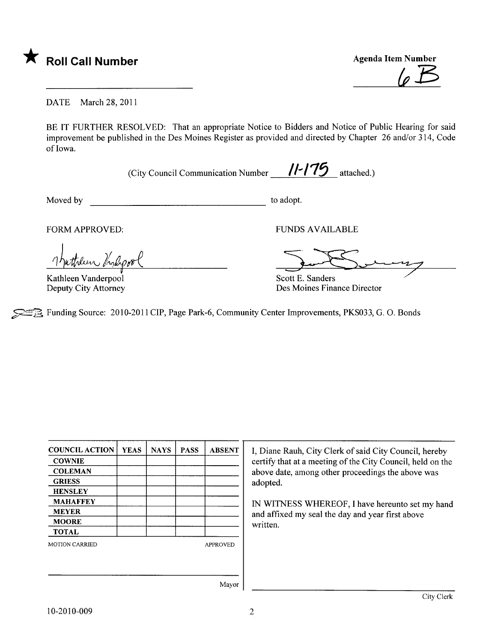

Agenda Item Number  $\varphi$   $\cancel{B}$ 

DATE March 28, 2011

BE IT FURTHER RESOLVED: That an appropriate Notice to Bidders and Notice of Public Hearing for said improvement be published in the Des Moines Register as provided and directed by Chapter 26 and/or 314, Code of Iowa.

(City Council Communication Number  $\frac{11-175}{1}$  attached.)

Moved by to adopt.

FORM APPROVED:

Indicon

Kathleen Vanderpool Deputy City Attorney

FUNDS AVAILABLE

FUNDS AVAILABLE<br>Scott E. Sanders

Des Moines Finance Director

~ß. Funding Source: 2010-2011 CIP, Page Park-6, Community Center Improvements, PKS033, G. O. Bonds

| <b>COUNCIL ACTION</b> | <b>YEAS</b> | <b>NAYS</b> | <b>PASS</b> | <b>ABSENT</b>   |
|-----------------------|-------------|-------------|-------------|-----------------|
| <b>COWNIE</b>         |             |             |             |                 |
| <b>COLEMAN</b>        |             |             |             |                 |
| <b>GRIESS</b>         |             |             |             |                 |
| <b>HENSLEY</b>        |             |             |             |                 |
| <b>MAHAFFEY</b>       |             |             |             |                 |
| MEYER                 |             |             |             |                 |
| <b>MOORE</b>          |             |             |             |                 |
| <b>TOTAL</b>          |             |             |             |                 |
| <b>MOTION CARRIED</b> |             |             |             | <b>APPROVED</b> |
|                       |             |             |             |                 |
|                       |             |             |             |                 |
|                       |             |             |             | Mayor           |

I, Diane Rauh, City Clerk of said City Council, hereby certify that at a meeting of the City Council, held on the above date, among other proceedings the above was adopted.

IN WITNESS WHEREOF, I have hereunto set my hand and affxed my seal the day and year first above written.

10-2010-009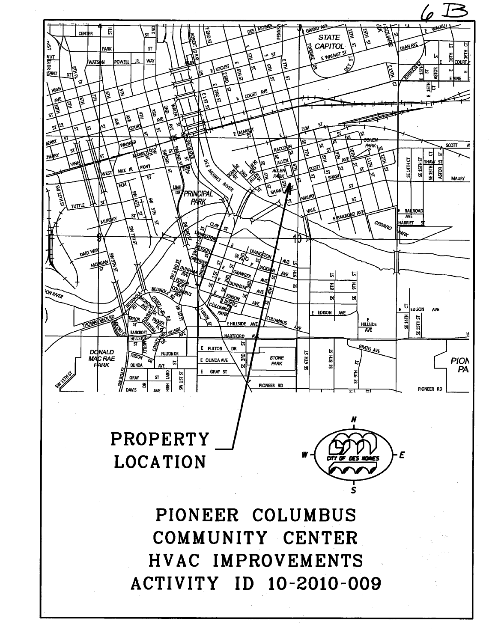